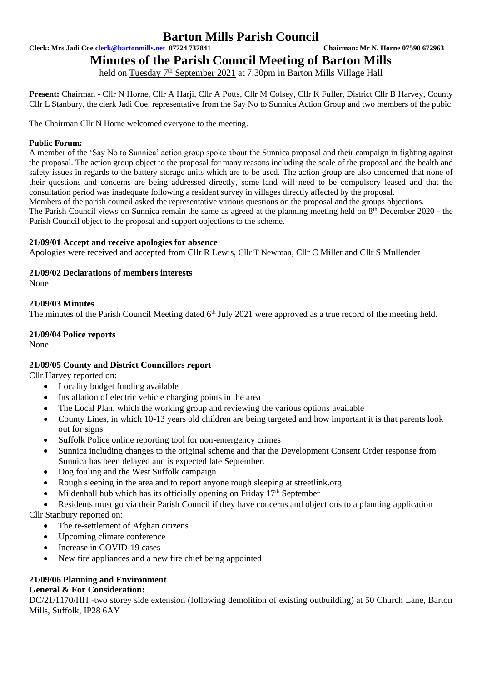**Clerk: Mrs Jadi Coe [clerk@bartonmills.net](mailto:clerk@bartonmills.net) 07724 737841 Chairman: Mr N. Horne 07590 672963**

# **Minutes of the Parish Council Meeting of Barton Mills**

held on Tuesday 7<sup>th</sup> September 2021 at 7:30pm in Barton Mills Village Hall

**Present:** Chairman - Cllr N Horne, Cllr A Harji, Cllr A Potts, Cllr M Colsey, Cllr K Fuller, District Cllr B Harvey, County Cllr L Stanbury, the clerk Jadi Coe, representative from the Say No to Sunnica Action Group and two members of the pubic

The Chairman Cllr N Horne welcomed everyone to the meeting.

#### **Public Forum:**

A member of the 'Say No to Sunnica' action group spoke about the Sunnica proposal and their campaign in fighting against the proposal. The action group object to the proposal for many reasons including the scale of the proposal and the health and safety issues in regards to the battery storage units which are to be used. The action group are also concerned that none of their questions and concerns are being addressed directly, some land will need to be compulsory leased and that the consultation period was inadequate following a resident survey in villages directly affected by the proposal.

Members of the parish council asked the representative various questions on the proposal and the groups objections.

The Parish Council views on Sunnica remain the same as agreed at the planning meeting held on 8<sup>th</sup> December 2020 - the Parish Council object to the proposal and support objections to the scheme.

#### **21/09/01 Accept and receive apologies for absence**

Apologies were received and accepted from Cllr R Lewis, Cllr T Newman, Cllr C Miller and Cllr S Mullender

#### **21/09/02 Declarations of members interests**

None

#### **21/09/03 Minutes**

The minutes of the Parish Council Meeting dated 6<sup>th</sup> July 2021 were approved as a true record of the meeting held.

#### **21/09/04 Police reports**

None

#### **21/09/05 County and District Councillors report**

Cllr Harvey reported on:

- Locality budget funding available
- Installation of electric vehicle charging points in the area
- The Local Plan, which the working group and reviewing the various options available
- County Lines, in which 10-13 years old children are being targeted and how important it is that parents look out for signs
- Suffolk Police online reporting tool for non-emergency crimes
- Sunnica including changes to the original scheme and that the Development Consent Order response from Sunnica has been delayed and is expected late September.
- Dog fouling and the West Suffolk campaign
- Rough sleeping in the area and to report anyone rough sleeping at streetlink.org
- Mildenhall hub which has its officially opening on Friday  $17<sup>th</sup>$  September

• Residents must go via their Parish Council if they have concerns and objections to a planning application Cllr Stanbury reported on:

- The re-settlement of Afghan citizens
- Upcoming climate conference
- Increase in COVID-19 cases
- New fire appliances and a new fire chief being appointed

## **21/09/06 Planning and Environment**

### **General & For Consideration:**

DC/21/1170/HH -two storey side extension (following demolition of existing outbuilding) at 50 Church Lane, Barton Mills, Suffolk, IP28 6AY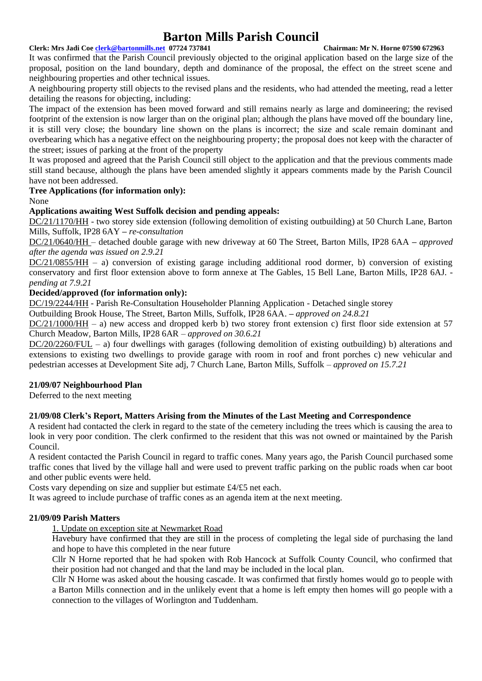#### **Clerk: Mrs Jadi Coe [clerk@bartonmills.net](mailto:clerk@bartonmills.net) 07724 737841 Chairman: Mr N. Horne 07590 672963**

It was confirmed that the Parish Council previously objected to the original application based on the large size of the proposal, position on the land boundary, depth and dominance of the proposal, the effect on the street scene and neighbouring properties and other technical issues.

A neighbouring property still objects to the revised plans and the residents, who had attended the meeting, read a letter detailing the reasons for objecting, including:

The impact of the extension has been moved forward and still remains nearly as large and domineering; the revised footprint of the extension is now larger than on the original plan; although the plans have moved off the boundary line, it is still very close; the boundary line shown on the plans is incorrect; the size and scale remain dominant and overbearing which has a negative effect on the neighbouring property; the proposal does not keep with the character of the street; issues of parking at the front of the property

It was proposed and agreed that the Parish Council still object to the application and that the previous comments made still stand because, although the plans have been amended slightly it appears comments made by the Parish Council have not been addressed.

#### **Tree Applications (for information only):**

None

#### **Applications awaiting West Suffolk decision and pending appeals:**

DC/21/1170/HH - two storey side extension (following demolition of existing outbuilding) at 50 Church Lane, Barton Mills, Suffolk, IP28 6AY **–** *re-consultation*

DC/21/0640/HH – detached double garage with new driveway at 60 The Street, Barton Mills, IP28 6AA **–** *approved after the agenda was issued on 2.9.21*

DC/21/0855/HH – a) conversion of existing garage including additional rood dormer, b) conversion of existing conservatory and first floor extension above to form annexe at The Gables, 15 Bell Lane, Barton Mills, IP28 6AJ.  *pending at 7.9.21*

#### **Decided/approved (for information only):**

DC/19/2244/HH - Parish Re-Consultation Householder Planning Application - Detached single storey

Outbuilding Brook House, The Street, Barton Mills, Suffolk, IP28 6AA. **–** *approved on 24.8.21*

DC/21/1000/HH – a) new access and dropped kerb b) two storey front extension c) first floor side extension at 57 Church Meadow, Barton Mills, IP28 6AR *– approved on 30.6.21*

DC/20/2260/FUL – a) four dwellings with garages (following demolition of existing outbuilding) b) alterations and extensions to existing two dwellings to provide garage with room in roof and front porches c) new vehicular and pedestrian accesses at Development Site adj, 7 Church Lane, Barton Mills, Suffolk *– approved on 15.7.21*

#### **21/09/07 Neighbourhood Plan**

Deferred to the next meeting

#### **21/09/08 Clerk's Report, Matters Arising from the Minutes of the Last Meeting and Correspondence**

A resident had contacted the clerk in regard to the state of the cemetery including the trees which is causing the area to look in very poor condition. The clerk confirmed to the resident that this was not owned or maintained by the Parish Council.

A resident contacted the Parish Council in regard to traffic cones. Many years ago, the Parish Council purchased some traffic cones that lived by the village hall and were used to prevent traffic parking on the public roads when car boot and other public events were held.

Costs vary depending on size and supplier but estimate £4/£5 net each.

It was agreed to include purchase of traffic cones as an agenda item at the next meeting.

#### **21/09/09 Parish Matters**

1. Update on exception site at Newmarket Road

Havebury have confirmed that they are still in the process of completing the legal side of purchasing the land and hope to have this completed in the near future

Cllr N Horne reported that he had spoken with Rob Hancock at Suffolk County Council, who confirmed that their position had not changed and that the land may be included in the local plan.

Cllr N Horne was asked about the housing cascade. It was confirmed that firstly homes would go to people with a Barton Mills connection and in the unlikely event that a home is left empty then homes will go people with a connection to the villages of Worlington and Tuddenham.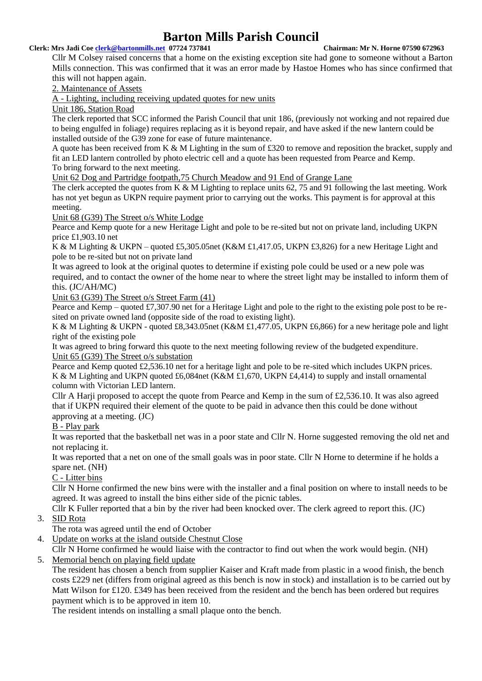#### **Clerk: Mrs Jadi Coe [clerk@bartonmills.net](mailto:clerk@bartonmills.net) 07724 737841 Chairman: Mr N. Horne 07590 672963**

Cllr M Colsey raised concerns that a home on the existing exception site had gone to someone without a Barton Mills connection. This was confirmed that it was an error made by Hastoe Homes who has since confirmed that this will not happen again.

2. Maintenance of Assets

A - Lighting, including receiving updated quotes for new units

Unit 186, Station Road

The clerk reported that SCC informed the Parish Council that unit 186, (previously not working and not repaired due to being engulfed in foliage) requires replacing as it is beyond repair, and have asked if the new lantern could be installed outside of the G39 zone for ease of future maintenance.

A quote has been received from K & M Lighting in the sum of £320 to remove and reposition the bracket, supply and fit an LED lantern controlled by photo electric cell and a quote has been requested from Pearce and Kemp. To bring forward to the next meeting.

Unit 62 Dog and Partridge footpath,75 Church Meadow and 91 End of Grange Lane

The clerk accepted the quotes from K & M Lighting to replace units 62, 75 and 91 following the last meeting. Work has not yet begun as UKPN require payment prior to carrying out the works. This payment is for approval at this meeting.

Unit 68 (G39) The Street o/s White Lodge

Pearce and Kemp quote for a new Heritage Light and pole to be re-sited but not on private land, including UKPN price £1,903.10 net

K & M Lighting & UKPN – quoted £5,305.05net (K&M £1,417.05, UKPN £3,826) for a new Heritage Light and pole to be re-sited but not on private land

It was agreed to look at the original quotes to determine if existing pole could be used or a new pole was required, and to contact the owner of the home near to where the street light may be installed to inform them of this. (JC/AH/MC)

Unit 63 (G39) The Street o/s Street Farm (41)

Pearce and Kemp – quoted £7,307.90 net for a Heritage Light and pole to the right to the existing pole post to be resited on private owned land (opposite side of the road to existing light).

K & M Lighting & UKPN - quoted £8,343.05net (K&M £1,477.05, UKPN £6,866) for a new heritage pole and light right of the existing pole

It was agreed to bring forward this quote to the next meeting following review of the budgeted expenditure. Unit 65 (G39) The Street o/s substation

Pearce and Kemp quoted £2,536.10 net for a heritage light and pole to be re-sited which includes UKPN prices. K & M Lighting and UKPN quoted £6,084net (K&M £1,670, UKPN £4,414) to supply and install ornamental column with Victorian LED lantern.

Cllr A Harji proposed to accept the quote from Pearce and Kemp in the sum of £2,536.10. It was also agreed that if UKPN required their element of the quote to be paid in advance then this could be done without approving at a meeting. (JC)

B - Play park

It was reported that the basketball net was in a poor state and Cllr N. Horne suggested removing the old net and not replacing it.

It was reported that a net on one of the small goals was in poor state. Cllr N Horne to determine if he holds a spare net. (NH)

C - Litter bins

Cllr N Horne confirmed the new bins were with the installer and a final position on where to install needs to be agreed. It was agreed to install the bins either side of the picnic tables.

Cllr K Fuller reported that a bin by the river had been knocked over. The clerk agreed to report this. (JC)

3. SID Rota

The rota was agreed until the end of October

4. Update on works at the island outside Chestnut Close

Cllr N Horne confirmed he would liaise with the contractor to find out when the work would begin. (NH)

5. Memorial bench on playing field update

The resident has chosen a bench from supplier Kaiser and Kraft made from plastic in a wood finish, the bench costs £229 net (differs from original agreed as this bench is now in stock) and installation is to be carried out by Matt Wilson for £120. £349 has been received from the resident and the bench has been ordered but requires payment which is to be approved in item 10.

The resident intends on installing a small plaque onto the bench.